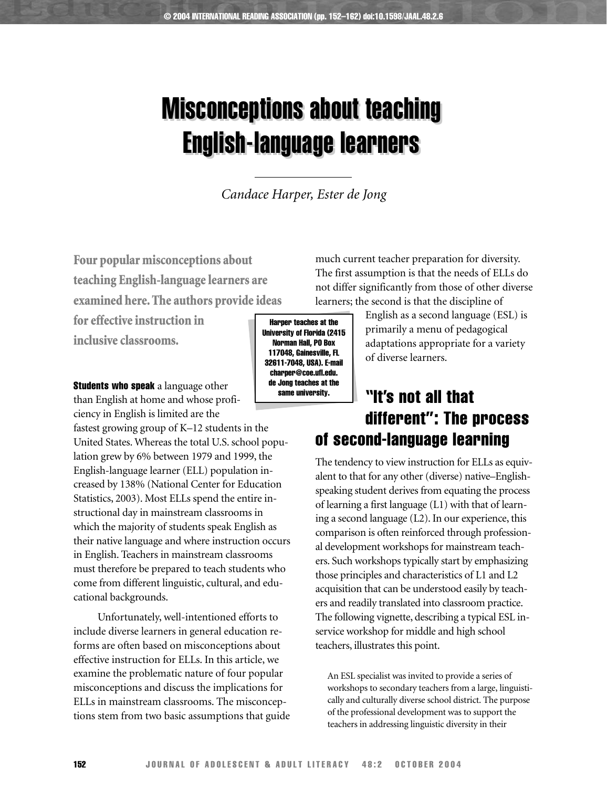# Misconceptions about teaching Misconceptions about teaching English-language learners English-language learners

*Candace Harper, Ester de Jong*

**Four popular misconceptions about teaching English-language learners are examined here. The authors provide ideas**

**for effective instruction in inclusive classrooms.**

**Students who speak** a language other than English at home and whose profi-

ciency in English is limited are the fastest growing group of K–12 students in the United States. Whereas the total U.S. school population grew by 6% between 1979 and 1999, the English-language learner (ELL) population increased by 138% (National Center for Education Statistics, 2003). Most ELLs spend the entire instructional day in mainstream classrooms in which the majority of students speak English as their native language and where instruction occurs in English. Teachers in mainstream classrooms must therefore be prepared to teach students who come from different linguistic, cultural, and educational backgrounds.

Unfortunately, well-intentioned efforts to include diverse learners in general education reforms are often based on misconceptions about effective instruction for ELLs. In this article, we examine the problematic nature of four popular misconceptions and discuss the implications for ELLs in mainstream classrooms. The misconceptions stem from two basic assumptions that guide

Harper teaches at the University of Florida (2415 Norman Hall, PO Box 117048, Gainesville, FL 32611-7048, USA). E-mail charper@coe.ufl.edu. de Jong teaches at the same university.

much current teacher preparation for diversity. The first assumption is that the needs of ELLs do not differ significantly from those of other diverse learners; the second is that the discipline of

> English as a second language (ESL) is primarily a menu of pedagogical adaptations appropriate for a variety of diverse learners.

## "It's not all that different": The process of second-language learning

The tendency to view instruction for ELLs as equivalent to that for any other (diverse) native–Englishspeaking student derives from equating the process of learning a first language (L1) with that of learning a second language (L2). In our experience, this comparison is often reinforced through professional development workshops for mainstream teachers. Such workshops typically start by emphasizing those principles and characteristics of L1 and L2 acquisition that can be understood easily by teachers and readily translated into classroom practice. The following vignette, describing a typical ESL inservice workshop for middle and high school teachers, illustrates this point.

An ESL specialist was invited to provide a series of workshops to secondary teachers from a large, linguistically and culturally diverse school district. The purpose of the professional development was to support the teachers in addressing linguistic diversity in their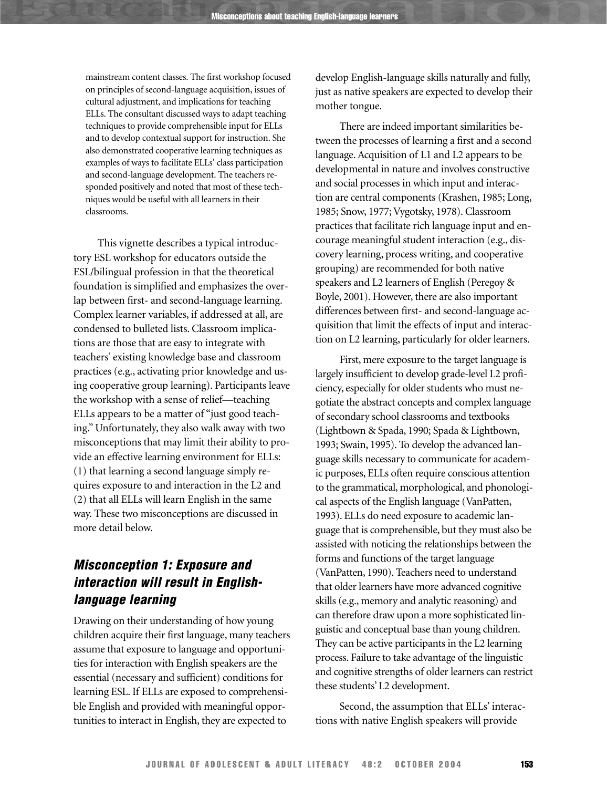mainstream content classes. The first workshop focused on principles of second-language acquisition, issues of cultural adjustment, and implications for teaching ELLs. The consultant discussed ways to adapt teaching techniques to provide comprehensible input for ELLs and to develop contextual support for instruction. She also demonstrated cooperative learning techniques as examples of ways to facilitate ELLs' class participation and second-language development. The teachers responded positively and noted that most of these techniques would be useful with all learners in their classrooms.

This vignette describes a typical introductory ESL workshop for educators outside the ESL/bilingual profession in that the theoretical foundation is simplified and emphasizes the overlap between first- and second-language learning. Complex learner variables, if addressed at all, are condensed to bulleted lists. Classroom implications are those that are easy to integrate with teachers' existing knowledge base and classroom practices (e.g., activating prior knowledge and using cooperative group learning). Participants leave the workshop with a sense of relief—teaching ELLs appears to be a matter of "just good teaching." Unfortunately, they also walk away with two misconceptions that may limit their ability to provide an effective learning environment for ELLs: (1) that learning a second language simply requires exposure to and interaction in the L2 and (2) that all ELLs will learn English in the same way. These two misconceptions are discussed in more detail below.

#### *Misconception 1: Exposure and interaction will result in Englishlanguage learning*

Drawing on their understanding of how young children acquire their first language, many teachers assume that exposure to language and opportunities for interaction with English speakers are the essential (necessary and sufficient) conditions for learning ESL. If ELLs are exposed to comprehensible English and provided with meaningful opportunities to interact in English, they are expected to

develop English-language skills naturally and fully, just as native speakers are expected to develop their mother tongue.

Misconceptions about teaching English-language learners

There are indeed important similarities between the processes of learning a first and a second language. Acquisition of L1 and L2 appears to be developmental in nature and involves constructive and social processes in which input and interaction are central components (Krashen, 1985; Long, 1985; Snow, 1977; Vygotsky, 1978). Classroom practices that facilitate rich language input and encourage meaningful student interaction (e.g., discovery learning, process writing, and cooperative grouping) are recommended for both native speakers and L2 learners of English (Peregoy & Boyle, 2001). However, there are also important differences between first- and second-language acquisition that limit the effects of input and interaction on L2 learning, particularly for older learners.

First, mere exposure to the target language is largely insufficient to develop grade-level L2 proficiency, especially for older students who must negotiate the abstract concepts and complex language of secondary school classrooms and textbooks (Lightbown & Spada, 1990; Spada & Lightbown, 1993; Swain, 1995). To develop the advanced language skills necessary to communicate for academic purposes, ELLs often require conscious attention to the grammatical, morphological, and phonological aspects of the English language (VanPatten, 1993). ELLs do need exposure to academic language that is comprehensible, but they must also be assisted with noticing the relationships between the forms and functions of the target language (VanPatten, 1990). Teachers need to understand that older learners have more advanced cognitive skills (e.g., memory and analytic reasoning) and can therefore draw upon a more sophisticated linguistic and conceptual base than young children. They can be active participants in the L2 learning process. Failure to take advantage of the linguistic and cognitive strengths of older learners can restrict these students' L2 development.

Second, the assumption that ELLs' interactions with native English speakers will provide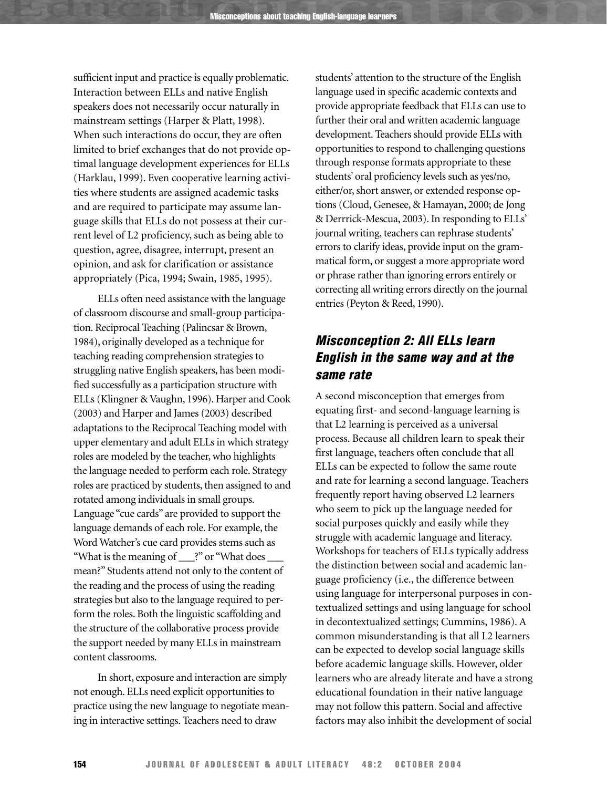sufficient input and practice is equally problematic. Interaction between ELLs and native English speakers does not necessarily occur naturally in mainstream settings (Harper & Platt, 1998). When such interactions do occur, they are often limited to brief exchanges that do not provide optimal language development experiences for ELLs (Harklau, 1999). Even cooperative learning activities where students are assigned academic tasks and are required to participate may assume language skills that ELLs do not possess at their current level of L2 proficiency, such as being able to question, agree, disagree, interrupt, present an opinion, and ask for clarification or assistance appropriately (Pica, 1994; Swain, 1985, 1995).

ELLs often need assistance with the language of classroom discourse and small-group participation. Reciprocal Teaching (Palincsar & Brown, 1984), originally developed as a technique for teaching reading comprehension strategies to struggling native English speakers, has been modified successfully as a participation structure with ELLs (Klingner & Vaughn, 1996). Harper and Cook (2003) and Harper and James (2003) described adaptations to the Reciprocal Teaching model with upper elementary and adult ELLs in which strategy roles are modeled by the teacher, who highlights the language needed to perform each role. Strategy roles are practiced by students, then assigned to and rotated among individuals in small groups. Language "cue cards" are provided to support the language demands of each role. For example, the Word Watcher's cue card provides stems such as "What is the meaning of  $\cdot$  ?" or "What does" mean?" Students attend not only to the content of the reading and the process of using the reading strategies but also to the language required to perform the roles. Both the linguistic scaffolding and the structure of the collaborative process provide the support needed by many ELLs in mainstream content classrooms.

In short, exposure and interaction are simply not enough. ELLs need explicit opportunities to practice using the new language to negotiate meaning in interactive settings. Teachers need to draw

students' attention to the structure of the English language used in specific academic contexts and provide appropriate feedback that ELLs can use to further their oral and written academic language development. Teachers should provide ELLs with opportunities to respond to challenging questions through response formats appropriate to these students' oral proficiency levels such as yes/no, either/or, short answer, or extended response options (Cloud, Genesee, & Hamayan, 2000; de Jong & Derrrick-Mescua, 2003). In responding to ELLs' journal writing, teachers can rephrase students' errors to clarify ideas, provide input on the grammatical form, or suggest a more appropriate word or phrase rather than ignoring errors entirely or correcting all writing errors directly on the journal entries (Peyton & Reed, 1990).

#### *Misconception 2: All ELLs learn English in the same way and at the same rate*

A second misconception that emerges from equating first- and second-language learning is that L2 learning is perceived as a universal process. Because all children learn to speak their first language, teachers often conclude that all ELLs can be expected to follow the same route and rate for learning a second language. Teachers frequently report having observed L2 learners who seem to pick up the language needed for social purposes quickly and easily while they struggle with academic language and literacy. Workshops for teachers of ELLs typically address the distinction between social and academic language proficiency (i.e., the difference between using language for interpersonal purposes in contextualized settings and using language for school in decontextualized settings; Cummins, 1986). A common misunderstanding is that all L2 learners can be expected to develop social language skills before academic language skills. However, older learners who are already literate and have a strong educational foundation in their native language may not follow this pattern. Social and affective factors may also inhibit the development of social

Misconceptions about teaching English-language learners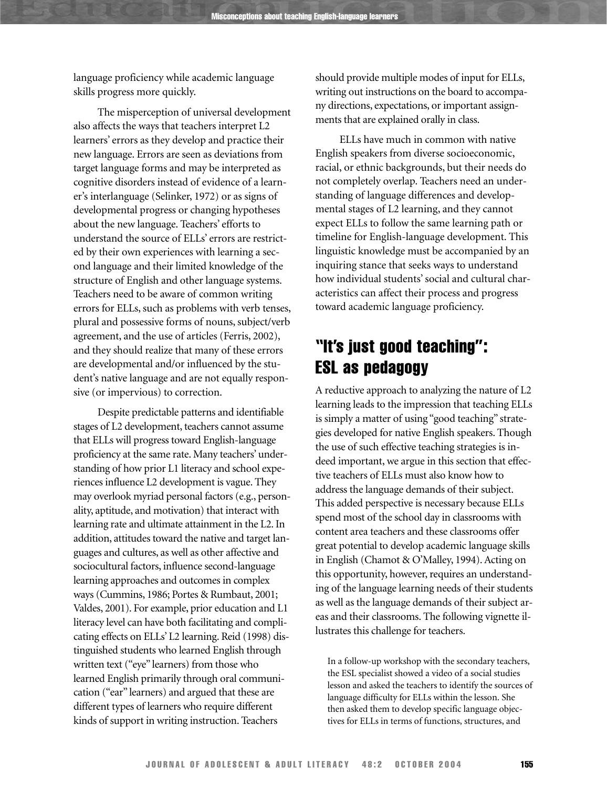language proficiency while academic language skills progress more quickly.

The misperception of universal development also affects the ways that teachers interpret L2 learners' errors as they develop and practice their new language. Errors are seen as deviations from target language forms and may be interpreted as cognitive disorders instead of evidence of a learner's interlanguage (Selinker, 1972) or as signs of developmental progress or changing hypotheses about the new language. Teachers' efforts to understand the source of ELLs' errors are restricted by their own experiences with learning a second language and their limited knowledge of the structure of English and other language systems. Teachers need to be aware of common writing errors for ELLs, such as problems with verb tenses, plural and possessive forms of nouns, subject/verb agreement, and the use of articles (Ferris, 2002), and they should realize that many of these errors are developmental and/or influenced by the student's native language and are not equally responsive (or impervious) to correction.

Despite predictable patterns and identifiable stages of L2 development, teachers cannot assume that ELLs will progress toward English-language proficiency at the same rate. Many teachers' understanding of how prior L1 literacy and school experiences influence L2 development is vague. They may overlook myriad personal factors (e.g., personality, aptitude, and motivation) that interact with learning rate and ultimate attainment in the L2. In addition, attitudes toward the native and target languages and cultures, as well as other affective and sociocultural factors, influence second-language learning approaches and outcomes in complex ways (Cummins, 1986; Portes & Rumbaut, 2001; Valdes, 2001). For example, prior education and L1 literacy level can have both facilitating and complicating effects on ELLs' L2 learning. Reid (1998) distinguished students who learned English through written text ("eye" learners) from those who learned English primarily through oral communication ("ear" learners) and argued that these are different types of learners who require different kinds of support in writing instruction. Teachers

should provide multiple modes of input for ELLs, writing out instructions on the board to accompany directions, expectations, or important assignments that are explained orally in class.

Misconceptions about teaching English-language learners

ELLs have much in common with native English speakers from diverse socioeconomic, racial, or ethnic backgrounds, but their needs do not completely overlap. Teachers need an understanding of language differences and developmental stages of L2 learning, and they cannot expect ELLs to follow the same learning path or timeline for English-language development. This linguistic knowledge must be accompanied by an inquiring stance that seeks ways to understand how individual students' social and cultural characteristics can affect their process and progress toward academic language proficiency.

## "It's just good teaching": ESL as pedagogy

A reductive approach to analyzing the nature of L2 learning leads to the impression that teaching ELLs is simply a matter of using "good teaching" strategies developed for native English speakers. Though the use of such effective teaching strategies is indeed important, we argue in this section that effective teachers of ELLs must also know how to address the language demands of their subject. This added perspective is necessary because ELLs spend most of the school day in classrooms with content area teachers and these classrooms offer great potential to develop academic language skills in English (Chamot & O'Malley, 1994). Acting on this opportunity, however, requires an understanding of the language learning needs of their students as well as the language demands of their subject areas and their classrooms. The following vignette illustrates this challenge for teachers.

In a follow-up workshop with the secondary teachers, the ESL specialist showed a video of a social studies lesson and asked the teachers to identify the sources of language difficulty for ELLs within the lesson. She then asked them to develop specific language objectives for ELLs in terms of functions, structures, and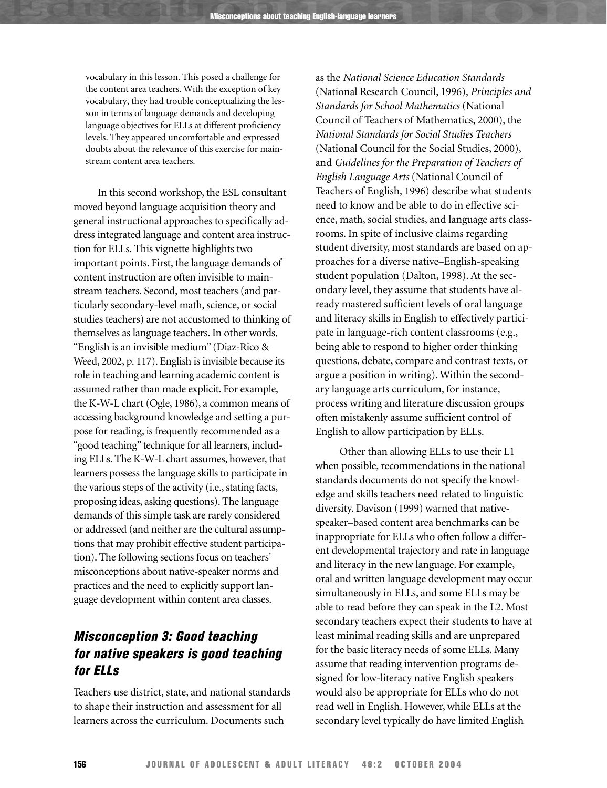vocabulary in this lesson. This posed a challenge for the content area teachers. With the exception of key vocabulary, they had trouble conceptualizing the lesson in terms of language demands and developing language objectives for ELLs at different proficiency levels. They appeared uncomfortable and expressed doubts about the relevance of this exercise for mainstream content area teachers.

Misconceptions about teaching English-language learners

In this second workshop, the ESL consultant moved beyond language acquisition theory and general instructional approaches to specifically address integrated language and content area instruction for ELLs. This vignette highlights two important points. First, the language demands of content instruction are often invisible to mainstream teachers. Second, most teachers (and particularly secondary-level math, science, or social studies teachers) are not accustomed to thinking of themselves as language teachers. In other words, "English is an invisible medium" (Diaz-Rico & Weed, 2002, p. 117). English is invisible because its role in teaching and learning academic content is assumed rather than made explicit. For example, the K-W-L chart (Ogle, 1986), a common means of accessing background knowledge and setting a purpose for reading, is frequently recommended as a "good teaching" technique for all learners, including ELLs. The K-W-L chart assumes, however, that learners possess the language skills to participate in the various steps of the activity (i.e., stating facts, proposing ideas, asking questions). The language demands of this simple task are rarely considered or addressed (and neither are the cultural assumptions that may prohibit effective student participation). The following sections focus on teachers' misconceptions about native-speaker norms and practices and the need to explicitly support language development within content area classes.

### *Misconception 3: Good teaching for native speakers is good teaching for ELLs*

Teachers use district, state, and national standards to shape their instruction and assessment for all learners across the curriculum. Documents such

as the *National Science Education Standards* (National Research Council, 1996), *Principles and Standards for School Mathematics* (National Council of Teachers of Mathematics, 2000), the *National Standards for Social Studies Teachers* (National Council for the Social Studies, 2000), and *Guidelines for the Preparation of Teachers of English Language Arts* (National Council of Teachers of English, 1996) describe what students need to know and be able to do in effective science, math, social studies, and language arts classrooms. In spite of inclusive claims regarding student diversity, most standards are based on approaches for a diverse native–English-speaking student population (Dalton, 1998). At the secondary level, they assume that students have already mastered sufficient levels of oral language and literacy skills in English to effectively participate in language-rich content classrooms (e.g., being able to respond to higher order thinking questions, debate, compare and contrast texts, or argue a position in writing). Within the secondary language arts curriculum, for instance, process writing and literature discussion groups often mistakenly assume sufficient control of English to allow participation by ELLs.

Other than allowing ELLs to use their L1 when possible, recommendations in the national standards documents do not specify the knowledge and skills teachers need related to linguistic diversity. Davison (1999) warned that nativespeaker–based content area benchmarks can be inappropriate for ELLs who often follow a different developmental trajectory and rate in language and literacy in the new language. For example, oral and written language development may occur simultaneously in ELLs, and some ELLs may be able to read before they can speak in the L2. Most secondary teachers expect their students to have at least minimal reading skills and are unprepared for the basic literacy needs of some ELLs. Many assume that reading intervention programs designed for low-literacy native English speakers would also be appropriate for ELLs who do not read well in English. However, while ELLs at the secondary level typically do have limited English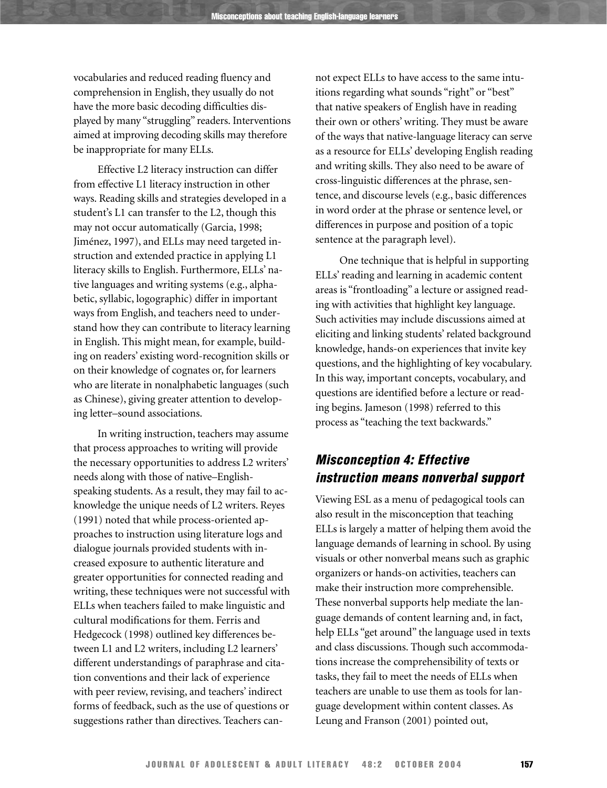vocabularies and reduced reading fluency and comprehension in English, they usually do not have the more basic decoding difficulties displayed by many "struggling" readers. Interventions aimed at improving decoding skills may therefore be inappropriate for many ELLs.

Misconceptions about teaching English-language learners

Effective L2 literacy instruction can differ from effective L1 literacy instruction in other ways. Reading skills and strategies developed in a student's L1 can transfer to the L2, though this may not occur automatically (Garcia, 1998; Jiménez, 1997), and ELLs may need targeted instruction and extended practice in applying L1 literacy skills to English. Furthermore, ELLs' native languages and writing systems (e.g., alphabetic, syllabic, logographic) differ in important ways from English, and teachers need to understand how they can contribute to literacy learning in English. This might mean, for example, building on readers' existing word-recognition skills or on their knowledge of cognates or, for learners who are literate in nonalphabetic languages (such as Chinese), giving greater attention to developing letter–sound associations.

In writing instruction, teachers may assume that process approaches to writing will provide the necessary opportunities to address L2 writers' needs along with those of native–Englishspeaking students. As a result, they may fail to acknowledge the unique needs of L2 writers. Reyes (1991) noted that while process-oriented approaches to instruction using literature logs and dialogue journals provided students with increased exposure to authentic literature and greater opportunities for connected reading and writing, these techniques were not successful with ELLs when teachers failed to make linguistic and cultural modifications for them. Ferris and Hedgecock (1998) outlined key differences between L1 and L2 writers, including L2 learners' different understandings of paraphrase and citation conventions and their lack of experience with peer review, revising, and teachers' indirect forms of feedback, such as the use of questions or suggestions rather than directives. Teachers cannot expect ELLs to have access to the same intuitions regarding what sounds "right" or "best" that native speakers of English have in reading their own or others' writing. They must be aware of the ways that native-language literacy can serve as a resource for ELLs' developing English reading and writing skills. They also need to be aware of cross-linguistic differences at the phrase, sentence, and discourse levels (e.g., basic differences in word order at the phrase or sentence level, or differences in purpose and position of a topic sentence at the paragraph level).

One technique that is helpful in supporting ELLs' reading and learning in academic content areas is "frontloading" a lecture or assigned reading with activities that highlight key language. Such activities may include discussions aimed at eliciting and linking students' related background knowledge, hands-on experiences that invite key questions, and the highlighting of key vocabulary. In this way, important concepts, vocabulary, and questions are identified before a lecture or reading begins. Jameson (1998) referred to this process as "teaching the text backwards."

#### *Misconception 4: Effective instruction means nonverbal support*

Viewing ESL as a menu of pedagogical tools can also result in the misconception that teaching ELLs is largely a matter of helping them avoid the language demands of learning in school. By using visuals or other nonverbal means such as graphic organizers or hands-on activities, teachers can make their instruction more comprehensible. These nonverbal supports help mediate the language demands of content learning and, in fact, help ELLs "get around" the language used in texts and class discussions. Though such accommodations increase the comprehensibility of texts or tasks, they fail to meet the needs of ELLs when teachers are unable to use them as tools for language development within content classes. As Leung and Franson (2001) pointed out,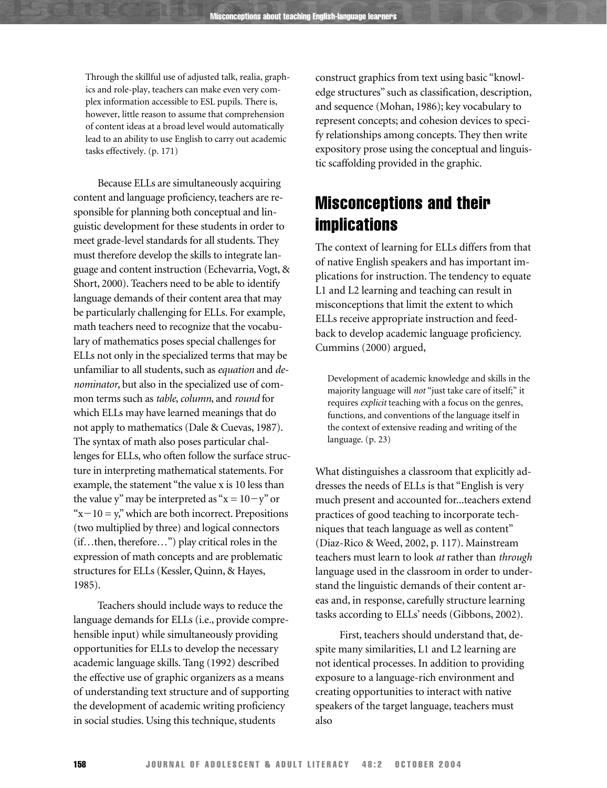Through the skillful use of adjusted talk, realia, graphics and role-play, teachers can make even very complex information accessible to ESL pupils. There is, however, little reason to assume that comprehension of content ideas at a broad level would automatically lead to an ability to use English to carry out academic tasks effectively. (p. 171)

Misconceptions about teaching English-language learners

Because ELLs are simultaneously acquiring content and language proficiency, teachers are responsible for planning both conceptual and linguistic development for these students in order to meet grade-level standards for all students. They must therefore develop the skills to integrate language and content instruction (Echevarria, Vogt, & Short, 2000). Teachers need to be able to identify language demands of their content area that may be particularly challenging for ELLs. For example, math teachers need to recognize that the vocabulary of mathematics poses special challenges for ELLs not only in the specialized terms that may be unfamiliar to all students, such as *equation* and *denominator*, but also in the specialized use of common terms such as *table*,*column*, and *round* for which ELLs may have learned meanings that do not apply to mathematics (Dale & Cuevas, 1987). The syntax of math also poses particular challenges for ELLs, who often follow the surface structure in interpreting mathematical statements. For example, the statement "the value x is 10 less than the value y" may be interpreted as " $x = 10 - y$ " or " $x-10 = y$ ," which are both incorrect. Prepositions (two multiplied by three) and logical connectors (if…then, therefore…") play critical roles in the expression of math concepts and are problematic structures for ELLs (Kessler, Quinn, & Hayes, 1985).

Teachers should include ways to reduce the language demands for ELLs (i.e., provide comprehensible input) while simultaneously providing opportunities for ELLs to develop the necessary academic language skills. Tang (1992) described the effective use of graphic organizers as a means of understanding text structure and of supporting the development of academic writing proficiency in social studies. Using this technique, students

construct graphics from text using basic "knowledge structures" such as classification, description, and sequence (Mohan, 1986); key vocabulary to represent concepts; and cohesion devices to specify relationships among concepts. They then write expository prose using the conceptual and linguistic scaffolding provided in the graphic.

## Misconceptions and their **implications**

The context of learning for ELLs differs from that of native English speakers and has important implications for instruction. The tendency to equate L1 and L2 learning and teaching can result in misconceptions that limit the extent to which ELLs receive appropriate instruction and feedback to develop academic language proficiency. Cummins (2000) argued,

Development of academic knowledge and skills in the majority language will *not* "just take care of itself;" it requires *explicit* teaching with a focus on the genres, functions, and conventions of the language itself in the context of extensive reading and writing of the language. (p. 23)

What distinguishes a classroom that explicitly addresses the needs of ELLs is that "English is very much present and accounted for...teachers extend practices of good teaching to incorporate techniques that teach language as well as content" (Diaz-Rico & Weed, 2002, p. 117). Mainstream teachers must learn to look *at* rather than *through* language used in the classroom in order to understand the linguistic demands of their content areas and, in response, carefully structure learning tasks according to ELLs' needs (Gibbons, 2002).

First, teachers should understand that, despite many similarities, L1 and L2 learning are not identical processes. In addition to providing exposure to a language-rich environment and creating opportunities to interact with native speakers of the target language, teachers must also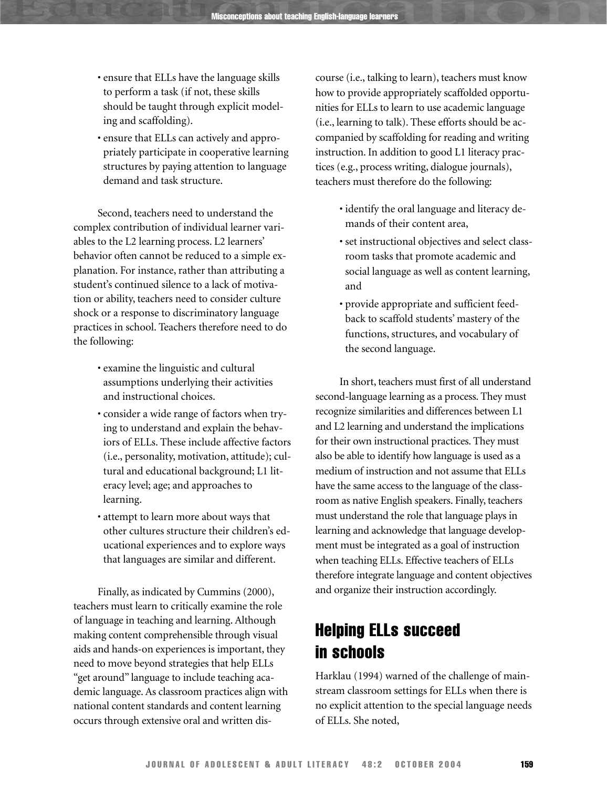• ensure that ELLs have the language skills to perform a task (if not, these skills should be taught through explicit modeling and scaffolding).

Misconceptions about teaching English-language learners

• ensure that ELLs can actively and appropriately participate in cooperative learning structures by paying attention to language demand and task structure.

Second, teachers need to understand the complex contribution of individual learner variables to the L2 learning process. L2 learners' behavior often cannot be reduced to a simple explanation. For instance, rather than attributing a student's continued silence to a lack of motivation or ability, teachers need to consider culture shock or a response to discriminatory language practices in school. Teachers therefore need to do the following:

- examine the linguistic and cultural assumptions underlying their activities and instructional choices.
- consider a wide range of factors when trying to understand and explain the behaviors of ELLs. These include affective factors (i.e., personality, motivation, attitude); cultural and educational background; L1 literacy level; age; and approaches to learning.
- attempt to learn more about ways that other cultures structure their children's educational experiences and to explore ways that languages are similar and different.

Finally, as indicated by Cummins (2000), teachers must learn to critically examine the role of language in teaching and learning. Although making content comprehensible through visual aids and hands-on experiences is important, they need to move beyond strategies that help ELLs "get around" language to include teaching academic language. As classroom practices align with national content standards and content learning occurs through extensive oral and written discourse (i.e., talking to learn), teachers must know how to provide appropriately scaffolded opportunities for ELLs to learn to use academic language (i.e., learning to talk). These efforts should be accompanied by scaffolding for reading and writing instruction. In addition to good L1 literacy practices (e.g., process writing, dialogue journals), teachers must therefore do the following:

- identify the oral language and literacy demands of their content area,
- set instructional objectives and select classroom tasks that promote academic and social language as well as content learning, and
- provide appropriate and sufficient feedback to scaffold students' mastery of the functions, structures, and vocabulary of the second language.

In short, teachers must first of all understand second-language learning as a process. They must recognize similarities and differences between L1 and L2 learning and understand the implications for their own instructional practices. They must also be able to identify how language is used as a medium of instruction and not assume that ELLs have the same access to the language of the classroom as native English speakers. Finally, teachers must understand the role that language plays in learning and acknowledge that language development must be integrated as a goal of instruction when teaching ELLs. Effective teachers of ELLs therefore integrate language and content objectives and organize their instruction accordingly.

## Helping ELLs succeed in schools

Harklau (1994) warned of the challenge of mainstream classroom settings for ELLs when there is no explicit attention to the special language needs of ELLs. She noted,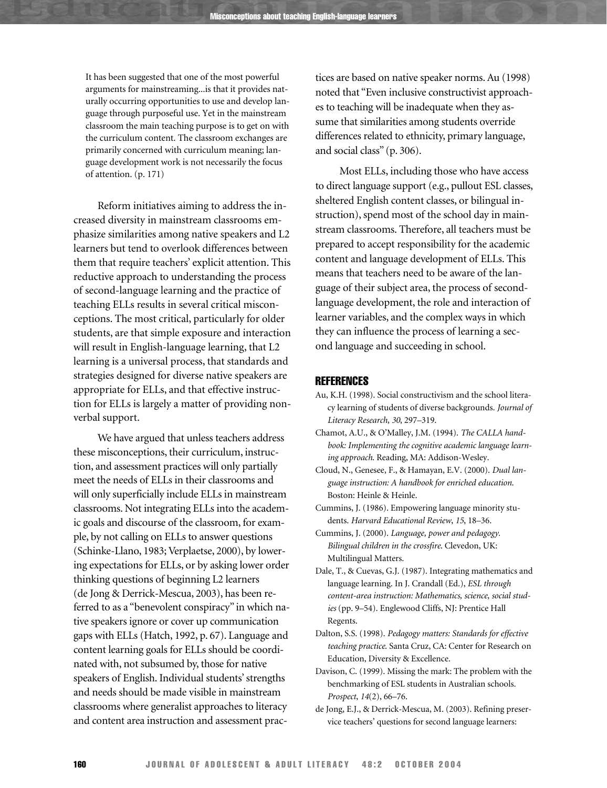It has been suggested that one of the most powerful arguments for mainstreaming...is that it provides naturally occurring opportunities to use and develop language through purposeful use. Yet in the mainstream classroom the main teaching purpose is to get on with the curriculum content. The classroom exchanges are primarily concerned with curriculum meaning; language development work is not necessarily the focus of attention. (p. 171)

Reform initiatives aiming to address the increased diversity in mainstream classrooms emphasize similarities among native speakers and L2 learners but tend to overlook differences between them that require teachers' explicit attention. This reductive approach to understanding the process of second-language learning and the practice of teaching ELLs results in several critical misconceptions. The most critical, particularly for older students, are that simple exposure and interaction will result in English-language learning, that L2 learning is a universal process, that standards and strategies designed for diverse native speakers are appropriate for ELLs, and that effective instruction for ELLs is largely a matter of providing nonverbal support.

We have argued that unless teachers address these misconceptions, their curriculum, instruction, and assessment practices will only partially meet the needs of ELLs in their classrooms and will only superficially include ELLs in mainstream classrooms. Not integrating ELLs into the academic goals and discourse of the classroom, for example, by not calling on ELLs to answer questions (Schinke-Llano, 1983; Verplaetse, 2000), by lowering expectations for ELLs, or by asking lower order thinking questions of beginning L2 learners (de Jong & Derrick-Mescua, 2003), has been referred to as a "benevolent conspiracy" in which native speakers ignore or cover up communication gaps with ELLs (Hatch, 1992, p. 67). Language and content learning goals for ELLs should be coordinated with, not subsumed by, those for native speakers of English. Individual students' strengths and needs should be made visible in mainstream classrooms where generalist approaches to literacy and content area instruction and assessment practices are based on native speaker norms. Au (1998) noted that "Even inclusive constructivist approaches to teaching will be inadequate when they assume that similarities among students override differences related to ethnicity, primary language, and social class" (p. 306).

Most ELLs, including those who have access to direct language support (e.g., pullout ESL classes, sheltered English content classes, or bilingual instruction), spend most of the school day in mainstream classrooms. Therefore, all teachers must be prepared to accept responsibility for the academic content and language development of ELLs. This means that teachers need to be aware of the language of their subject area, the process of secondlanguage development, the role and interaction of learner variables, and the complex ways in which they can influence the process of learning a second language and succeeding in school.

#### **REFERENCES**

Misconceptions about teaching English-language learners

- Au, K.H. (1998). Social constructivism and the school literacy learning of students of diverse backgrounds. *Journal of Literacy Research*, *30*, 297–319.
- Chamot, A.U., & O'Malley, J.M. (1994). *The CALLA handbook: Implementing the cognitive academic language learning approach*. Reading, MA: Addison-Wesley.
- Cloud, N., Genesee, F., & Hamayan, E.V. (2000). *Dual language instruction: A handbook for enriched education*. Boston: Heinle & Heinle.

Cummins, J. (1986). Empowering language minority students. *Harvard Educational Review*, *15*, 18–36.

- Cummins, J. (2000). *Language, power and pedagogy. Bilingual children in the crossfire*. Clevedon, UK: Multilingual Matters.
- Dale, T., & Cuevas, G.J. (1987). Integrating mathematics and language learning. In J. Crandall (Ed.), *ESL through content-area instruction: Mathematics, science, social studies* (pp. 9–54). Englewood Cliffs, NJ: Prentice Hall Regents.
- Dalton, S.S. (1998). *Pedagogy matters: Standards for effective teaching practice*. Santa Cruz, CA: Center for Research on Education, Diversity & Excellence.
- Davison, C. (1999). Missing the mark: The problem with the benchmarking of ESL students in Australian schools. *Prospect*, *14*(2), 66–76.
- de Jong, E.J., & Derrick-Mescua, M. (2003). Refining preservice teachers' questions for second language learners: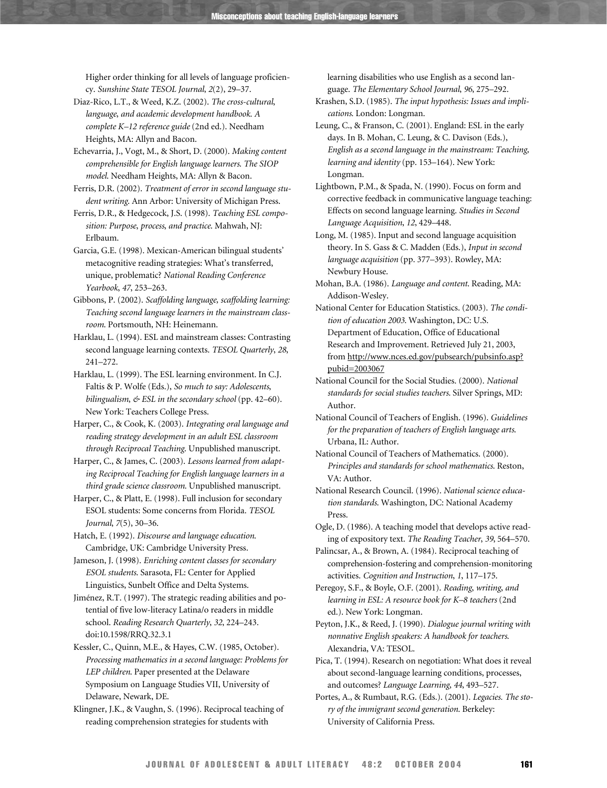Higher order thinking for all levels of language proficiency. *Sunshine State TESOL Journal*, *2*(2), 29–37.

Misconceptions about teaching English-language learners

Diaz-Rico, L.T., & Weed, K.Z. (2002). *The cross-cultural*, *language*, *and academic development handbook*. *A complete K–12 reference guide* (2nd ed.). Needham Heights, MA: Allyn and Bacon.

Echevarria, J., Vogt, M., & Short, D. (2000). *Making content comprehensible for English language learners*. *The SIOP model*. Needham Heights, MA: Allyn & Bacon.

Ferris, D.R. (2002). *Treatment of error in second language student writing*. Ann Arbor: University of Michigan Press.

Ferris, D.R., & Hedgecock, J.S. (1998). *Teaching ESL composition: Purpose*, *process*, *and practice*. Mahwah, NJ: Erlbaum.

Garcia, G.E. (1998). Mexican-American bilingual students' metacognitive reading strategies: What's transferred, unique, problematic? *National Reading Conference Yearbook*, *47*, 253–263.

Gibbons, P. (2002). *Scaffolding language, scaffolding learning: Teaching second language learners in the mainstream classroom*. Portsmouth, NH: Heinemann.

Harklau, L. (1994). ESL and mainstream classes: Contrasting second language learning contexts. *TESOL Quarterly*, *28*, 241–272.

Harklau, L. (1999). The ESL learning environment. In C.J. Faltis & P. Wolfe (Eds.), *So much to say: Adolescents*, *bilingualism*, *& ESL in the secondary school* (pp. 42–60). New York: Teachers College Press.

Harper, C., & Cook, K. (2003). *Integrating oral language and reading strategy development in an adult ESL classroom through Reciprocal Teaching*. Unpublished manuscript.

Harper, C., & James, C. (2003). *Lessons learned from adapting Reciprocal Teaching for English language learners in a third grade science classroom*. Unpublished manuscript.

Harper, C., & Platt, E. (1998). Full inclusion for secondary ESOL students: Some concerns from Florida. *TESOL Journal*, *7*(5), 30–36.

Hatch, E. (1992). *Discourse and language education*. Cambridge, UK: Cambridge University Press.

Jameson, J. (1998). *Enriching content classes for secondary ESOL students*. Sarasota, FL: Center for Applied Linguistics, Sunbelt Office and Delta Systems.

Jiménez, R.T. (1997). The strategic reading abilities and potential of five low-literacy Latina/o readers in middle school. *Reading Research Quarterly*, *32*, 224–243. doi:10.1598/RRQ.32.3.1

Kessler, C., Quinn, M.E., & Hayes, C.W. (1985, October). *Processing mathematics in a second language: Problems for LEP children*. Paper presented at the Delaware Symposium on Language Studies VII, University of Delaware, Newark, DE.

Klingner, J.K., & Vaughn, S. (1996). Reciprocal teaching of reading comprehension strategies for students with

learning disabilities who use English as a second language. *The Elementary School Journal*, *96*, 275–292.

Krashen, S.D. (1985). *The input hypothesis: Issues and implications*. London: Longman.

Leung, C., & Franson, C. (2001). England: ESL in the early days. In B. Mohan, C. Leung, & C. Davison (Eds.), *English as a second language in the mainstream: Teaching, learning and identity* (pp. 153–164). New York: Longman.

Lightbown, P.M., & Spada, N. (1990). Focus on form and corrective feedback in communicative language teaching: Effects on second language learning. *Studies in Second Language Acquisition*, *12*, 429–448.

Long, M. (1985). Input and second language acquisition theory. In S. Gass & C. Madden (Eds.), *Input in second language acquisition* (pp. 377–393). Rowley, MA: Newbury House.

Mohan, B.A. (1986). *Language and content*. Reading, MA: Addison-Wesley.

National Center for Education Statistics. (2003). *The condition of education 2003*. Washington, DC: U.S. Department of Education, Office of Educational Research and Improvement. Retrieved July 21, 2003, from http://www.nces.ed.gov/pubsearch/pubsinfo.asp? pubid=2003067

National Council for the Social Studies. (2000). *National standards for social studies teachers*. Silver Springs, MD: Author.

National Council of Teachers of English. (1996). *Guidelines for the preparation of teachers of English language arts*. Urbana, IL: Author.

National Council of Teachers of Mathematics. (2000). *Principles and standards for school mathematics*. Reston, VA: Author.

National Research Council. (1996). *National science education standards*. Washington, DC: National Academy Press.

Ogle, D. (1986). A teaching model that develops active reading of expository text. *The Reading Teacher*, *39*, 564–570.

Palincsar, A., & Brown, A. (1984). Reciprocal teaching of comprehension-fostering and comprehension-monitoring activities. *Cognition and Instruction*, *1*, 117–175.

Peregoy, S.F., & Boyle, O.F. (2001). *Reading*, *writing*, *and learning in ESL: A resource book for K–8 teachers* (2nd ed.). New York: Longman.

Peyton, J.K., & Reed, J. (1990). *Dialogue journal writing with nonnative English speakers: A handbook for teachers*. Alexandria, VA: TESOL.

Pica, T. (1994). Research on negotiation: What does it reveal about second-language learning conditions, processes, and outcomes? *Language Learning*, *44*, 493–527.

Portes, A., & Rumbaut, R.G. (Eds.). (2001). *Legacies. The story of the immigrant second generation*. Berkeley: University of California Press.